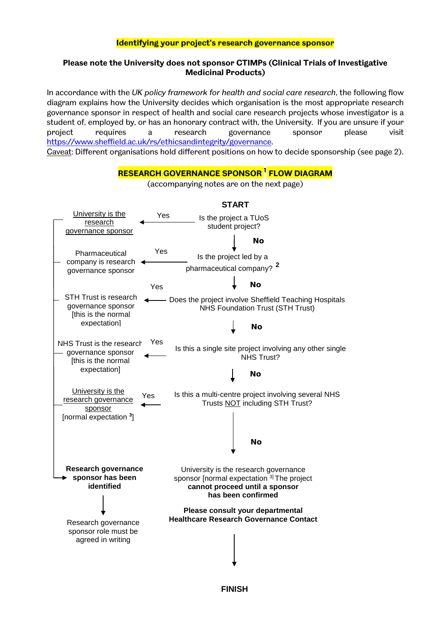# **Identifying your project's research governance sponsor**

# **Please note the University does not sponsor CTIMPs (Clinical Trials of Investigative Medicinal Products)**

In accordance with the *UK policy framework for health and social care research*, the following flow diagram explains how the University decides which organisation is the most appropriate research governance sponsor in respect of health and social care research projects whose investigator is a student of, employed by, or has an honorary contract with, the University. If you are unsure if your project requires a research governance sponsor please visit [https://www.sheffield.ac.uk/rs/ethicsandintegrity/governance.](https://www.sheffield.ac.uk/rs/ethicsandintegrity/governance) Caveat: Different organisations hold different positions on how to decide sponsorship (see page 2).